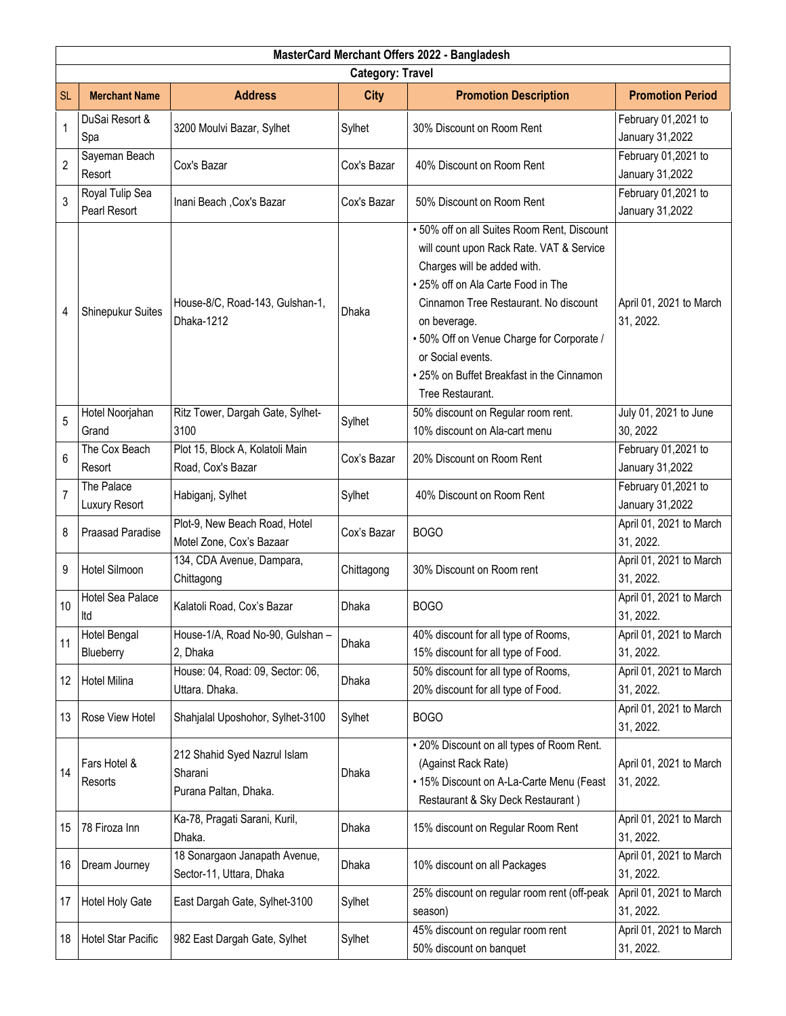| MasterCard Merchant Offers 2022 - Bangladesh |                                 |                                                                  |             |                                                                                                                                                                                                                                                                                                                                                          |                                        |  |  |  |
|----------------------------------------------|---------------------------------|------------------------------------------------------------------|-------------|----------------------------------------------------------------------------------------------------------------------------------------------------------------------------------------------------------------------------------------------------------------------------------------------------------------------------------------------------------|----------------------------------------|--|--|--|
| <b>Category: Travel</b>                      |                                 |                                                                  |             |                                                                                                                                                                                                                                                                                                                                                          |                                        |  |  |  |
| <b>SL</b>                                    | <b>Merchant Name</b>            | <b>Address</b>                                                   | <b>City</b> | <b>Promotion Description</b>                                                                                                                                                                                                                                                                                                                             | <b>Promotion Period</b>                |  |  |  |
| $\mathbf{1}$                                 | DuSai Resort &<br>Spa           | 3200 Moulvi Bazar, Sylhet                                        | Sylhet      | 30% Discount on Room Rent                                                                                                                                                                                                                                                                                                                                | February 01,2021 to<br>January 31,2022 |  |  |  |
| $\overline{2}$                               | Sayeman Beach<br>Resort         | Cox's Bazar                                                      | Cox's Bazar | 40% Discount on Room Rent                                                                                                                                                                                                                                                                                                                                | February 01,2021 to<br>January 31,2022 |  |  |  |
| 3                                            | Royal Tulip Sea<br>Pearl Resort | Inani Beach, Cox's Bazar                                         | Cox's Bazar | 50% Discount on Room Rent                                                                                                                                                                                                                                                                                                                                | February 01,2021 to<br>January 31,2022 |  |  |  |
| 4                                            | Shinepukur Suites               | House-8/C, Road-143, Gulshan-1,<br>Dhaka-1212                    | Dhaka       | . 50% off on all Suites Room Rent, Discount<br>will count upon Rack Rate. VAT & Service<br>Charges will be added with.<br>• 25% off on Ala Carte Food in The<br>Cinnamon Tree Restaurant. No discount<br>on beverage.<br>• 50% Off on Venue Charge for Corporate /<br>or Social events.<br>• 25% on Buffet Breakfast in the Cinnamon<br>Tree Restaurant. | April 01, 2021 to March<br>31, 2022.   |  |  |  |
| 5                                            | Hotel Noorjahan<br>Grand        | Ritz Tower, Dargah Gate, Sylhet-<br>3100                         | Sylhet      | 50% discount on Regular room rent.<br>10% discount on Ala-cart menu                                                                                                                                                                                                                                                                                      | July 01, 2021 to June<br>30, 2022      |  |  |  |
| 6                                            | The Cox Beach<br>Resort         | Plot 15, Block A, Kolatoli Main<br>Road, Cox's Bazar             | Cox's Bazar | 20% Discount on Room Rent                                                                                                                                                                                                                                                                                                                                | February 01,2021 to<br>January 31,2022 |  |  |  |
| $\overline{7}$                               | The Palace<br>Luxury Resort     | Habiganj, Sylhet                                                 | Sylhet      | 40% Discount on Room Rent                                                                                                                                                                                                                                                                                                                                | February 01,2021 to<br>January 31,2022 |  |  |  |
| 8                                            | <b>Praasad Paradise</b>         | Plot-9, New Beach Road, Hotel<br>Motel Zone, Cox's Bazaar        | Cox's Bazar | <b>BOGO</b>                                                                                                                                                                                                                                                                                                                                              | April 01, 2021 to March<br>31, 2022.   |  |  |  |
| 9                                            | <b>Hotel Silmoon</b>            | 134, CDA Avenue, Dampara,<br>Chittagong                          | Chittagong  | 30% Discount on Room rent                                                                                                                                                                                                                                                                                                                                | April 01, 2021 to March<br>31, 2022.   |  |  |  |
| 10                                           | Hotel Sea Palace<br>Itd         | Kalatoli Road, Cox's Bazar                                       | Dhaka       | <b>BOGO</b>                                                                                                                                                                                                                                                                                                                                              | April 01, 2021 to March<br>31, 2022.   |  |  |  |
| 11                                           | Hotel Bengal<br>Blueberry       | House-1/A, Road No-90, Gulshan -<br>2, Dhaka                     | Dhaka       | 40% discount for all type of Rooms,<br>15% discount for all type of Food.                                                                                                                                                                                                                                                                                | April 01, 2021 to March<br>31, 2022.   |  |  |  |
| 12                                           | <b>Hotel Milina</b>             | House: 04, Road: 09, Sector: 06,<br>Uttara. Dhaka.               | Dhaka       | 50% discount for all type of Rooms,<br>20% discount for all type of Food.                                                                                                                                                                                                                                                                                | April 01, 2021 to March<br>31, 2022.   |  |  |  |
| 13                                           | Rose View Hotel                 | Shahjalal Uposhohor, Sylhet-3100                                 | Sylhet      | <b>BOGO</b>                                                                                                                                                                                                                                                                                                                                              | April 01, 2021 to March<br>31, 2022.   |  |  |  |
| 14                                           | Fars Hotel &<br>Resorts         | 212 Shahid Syed Nazrul Islam<br>Sharani<br>Purana Paltan, Dhaka. | Dhaka       | . 20% Discount on all types of Room Rent.<br>(Against Rack Rate)<br>• 15% Discount on A-La-Carte Menu (Feast<br>Restaurant & Sky Deck Restaurant)                                                                                                                                                                                                        | April 01, 2021 to March<br>31, 2022.   |  |  |  |
| 15                                           | 78 Firoza Inn                   | Ka-78, Pragati Sarani, Kuril,<br>Dhaka.                          | Dhaka       | 15% discount on Regular Room Rent                                                                                                                                                                                                                                                                                                                        | April 01, 2021 to March<br>31, 2022.   |  |  |  |
| 16                                           | Dream Journey                   | 18 Sonargaon Janapath Avenue,<br>Sector-11, Uttara, Dhaka        | Dhaka       | 10% discount on all Packages                                                                                                                                                                                                                                                                                                                             | April 01, 2021 to March<br>31, 2022.   |  |  |  |
| 17                                           | Hotel Holy Gate                 | East Dargah Gate, Sylhet-3100                                    | Sylhet      | 25% discount on regular room rent (off-peak<br>season)                                                                                                                                                                                                                                                                                                   | April 01, 2021 to March<br>31, 2022.   |  |  |  |
| 18                                           | Hotel Star Pacific              | 982 East Dargah Gate, Sylhet                                     | Sylhet      | 45% discount on regular room rent<br>50% discount on banquet                                                                                                                                                                                                                                                                                             | April 01, 2021 to March<br>31, 2022.   |  |  |  |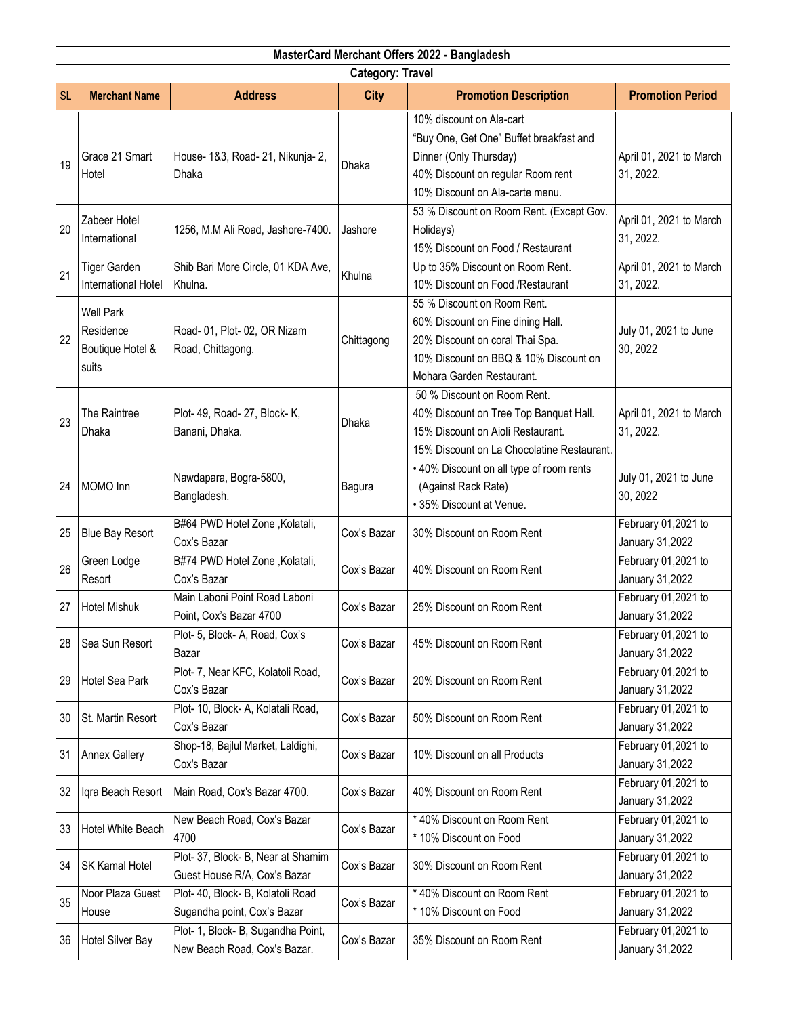| MasterCard Merchant Offers 2022 - Bangladesh |                                                            |                                                                    |               |                                                                                                                                                                           |                                        |  |  |  |
|----------------------------------------------|------------------------------------------------------------|--------------------------------------------------------------------|---------------|---------------------------------------------------------------------------------------------------------------------------------------------------------------------------|----------------------------------------|--|--|--|
| <b>Category: Travel</b>                      |                                                            |                                                                    |               |                                                                                                                                                                           |                                        |  |  |  |
| <b>SL</b>                                    | <b>Merchant Name</b>                                       | <b>Address</b>                                                     | <b>City</b>   | <b>Promotion Description</b>                                                                                                                                              | <b>Promotion Period</b>                |  |  |  |
|                                              |                                                            |                                                                    |               | 10% discount on Ala-cart                                                                                                                                                  |                                        |  |  |  |
| 19                                           | Grace 21 Smart<br>Hotel                                    | House- 1&3, Road- 21, Nikunja- 2,<br>Dhaka                         | Dhaka         | "Buy One, Get One" Buffet breakfast and<br>Dinner (Only Thursday)<br>40% Discount on regular Room rent<br>10% Discount on Ala-carte menu.                                 | April 01, 2021 to March<br>31, 2022.   |  |  |  |
| 20                                           | Zabeer Hotel<br>International                              | 1256, M.M Ali Road, Jashore-7400.                                  | Jashore       | 53 % Discount on Room Rent. (Except Gov.<br>Holidays)<br>15% Discount on Food / Restaurant                                                                                | April 01, 2021 to March<br>31, 2022.   |  |  |  |
| 21                                           | <b>Tiger Garden</b><br>International Hotel                 | Shib Bari More Circle, 01 KDA Ave,<br>Khulna.                      | Khulna        | Up to 35% Discount on Room Rent.<br>10% Discount on Food /Restaurant                                                                                                      | April 01, 2021 to March<br>31, 2022.   |  |  |  |
| 22                                           | <b>Well Park</b><br>Residence<br>Boutique Hotel &<br>suits | Road- 01, Plot- 02, OR Nizam<br>Road, Chittagong.                  | Chittagong    | 55 % Discount on Room Rent.<br>60% Discount on Fine dining Hall.<br>20% Discount on coral Thai Spa.<br>10% Discount on BBQ & 10% Discount on<br>Mohara Garden Restaurant. | July 01, 2021 to June<br>30, 2022      |  |  |  |
| 23                                           | The Raintree<br>Dhaka                                      | Plot- 49, Road- 27, Block- K,<br>Banani, Dhaka.                    | Dhaka         | 50 % Discount on Room Rent.<br>40% Discount on Tree Top Banquet Hall.<br>15% Discount on Aioli Restaurant.<br>15% Discount on La Chocolatine Restaurant.                  | April 01, 2021 to March<br>31, 2022.   |  |  |  |
| 24                                           | MOMO Inn                                                   | Nawdapara, Bogra-5800,<br>Bangladesh.                              | <b>Bagura</b> | . 40% Discount on all type of room rents<br>(Against Rack Rate)<br>• 35% Discount at Venue.                                                                               | July 01, 2021 to June<br>30, 2022      |  |  |  |
| 25                                           | <b>Blue Bay Resort</b>                                     | B#64 PWD Hotel Zone, Kolatali,<br>Cox's Bazar                      | Cox's Bazar   | 30% Discount on Room Rent                                                                                                                                                 | February 01,2021 to<br>January 31,2022 |  |  |  |
| 26                                           | Green Lodge<br>Resort                                      | B#74 PWD Hotel Zone, Kolatali,<br>Cox's Bazar                      | Cox's Bazar   | 40% Discount on Room Rent                                                                                                                                                 | February 01,2021 to<br>January 31,2022 |  |  |  |
| 27                                           | <b>Hotel Mishuk</b>                                        | Main Laboni Point Road Laboni<br>Point, Cox's Bazar 4700           | Cox's Bazar   | 25% Discount on Room Rent                                                                                                                                                 | February 01,2021 to<br>January 31,2022 |  |  |  |
| 28                                           | Sea Sun Resort                                             | Plot- 5, Block- A, Road, Cox's<br>Bazar                            | Cox's Bazar   | 45% Discount on Room Rent                                                                                                                                                 | February 01,2021 to<br>January 31,2022 |  |  |  |
| 29                                           | Hotel Sea Park                                             | Plot- 7, Near KFC, Kolatoli Road,<br>Cox's Bazar                   | Cox's Bazar   | 20% Discount on Room Rent                                                                                                                                                 | February 01,2021 to<br>January 31,2022 |  |  |  |
| 30                                           | St. Martin Resort                                          | Plot- 10, Block- A, Kolatali Road,<br>Cox's Bazar                  | Cox's Bazar   | 50% Discount on Room Rent                                                                                                                                                 | February 01,2021 to<br>January 31,2022 |  |  |  |
| 31                                           | <b>Annex Gallery</b>                                       | Shop-18, Bajlul Market, Laldighi,<br>Cox's Bazar                   | Cox's Bazar   | 10% Discount on all Products                                                                                                                                              | February 01,2021 to<br>January 31,2022 |  |  |  |
| 32                                           | Iqra Beach Resort                                          | Main Road, Cox's Bazar 4700.                                       | Cox's Bazar   | 40% Discount on Room Rent                                                                                                                                                 | February 01,2021 to<br>January 31,2022 |  |  |  |
| 33                                           | Hotel White Beach                                          | New Beach Road, Cox's Bazar<br>4700                                | Cox's Bazar   | * 40% Discount on Room Rent<br>* 10% Discount on Food                                                                                                                     | February 01,2021 to<br>January 31,2022 |  |  |  |
| 34                                           | SK Kamal Hotel                                             | Plot-37, Block-B, Near at Shamim<br>Guest House R/A, Cox's Bazar   | Cox's Bazar   | 30% Discount on Room Rent                                                                                                                                                 | February 01,2021 to<br>January 31,2022 |  |  |  |
| 35                                           | Noor Plaza Guest<br>House                                  | Plot- 40, Block- B, Kolatoli Road<br>Sugandha point, Cox's Bazar   | Cox's Bazar   | * 40% Discount on Room Rent<br>* 10% Discount on Food                                                                                                                     | February 01,2021 to<br>January 31,2022 |  |  |  |
| 36                                           | Hotel Silver Bay                                           | Plot- 1, Block- B, Sugandha Point,<br>New Beach Road, Cox's Bazar. | Cox's Bazar   | 35% Discount on Room Rent                                                                                                                                                 | February 01,2021 to<br>January 31,2022 |  |  |  |